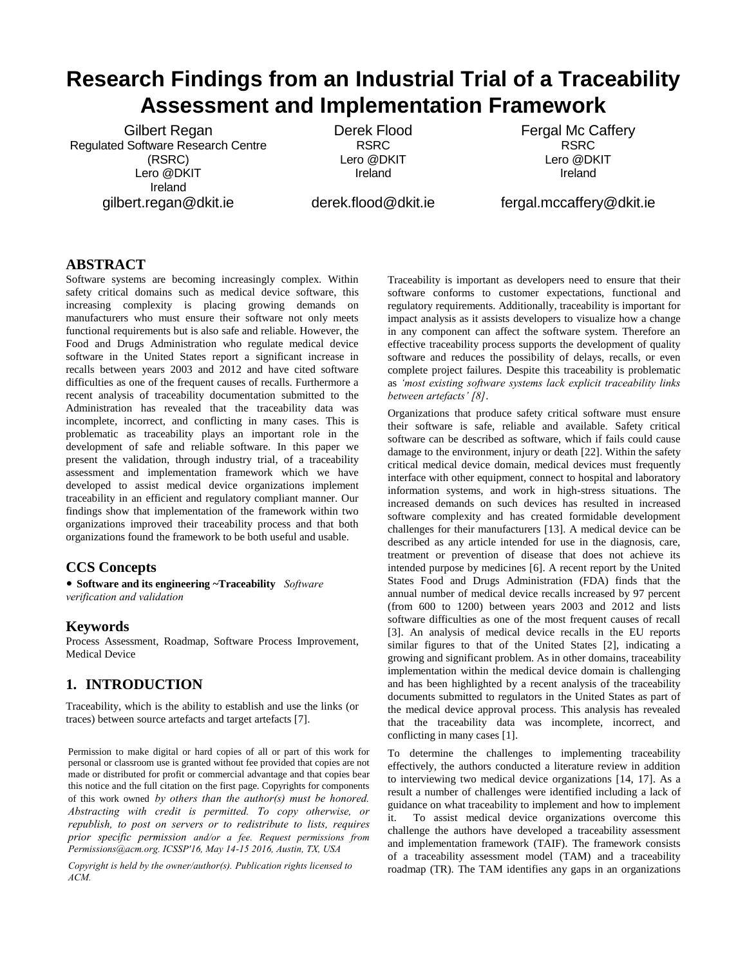# **Research Findings from an Industrial Trial of a Traceability Assessment and Implementation Framework**

Gilbert Regan Regulated Software Research Centre (RSRC) Lero @DKIT Ireland gilbert.regan@dkit.ie

Derek Flood RSRC Lero @DKIT Ireland

derek.flood@dkit.ie

Fergal Mc Caffery RSRC Lero @DKIT Ireland

fergal.mccaffery@dkit.ie

#### **ABSTRACT**

Software systems are becoming increasingly complex. Within safety critical domains such as medical device software, this increasing complexity is placing growing demands on manufacturers who must ensure their software not only meets functional requirements but is also safe and reliable. However, the Food and Drugs Administration who regulate medical device software in the United States report a significant increase in recalls between years 2003 and 2012 and have cited software difficulties as one of the frequent causes of recalls. Furthermore a recent analysis of traceability documentation submitted to the Administration has revealed that the traceability data was incomplete, incorrect, and conflicting in many cases. This is problematic as traceability plays an important role in the development of safe and reliable software. In this paper we present the validation, through industry trial, of a traceability assessment and implementation framework which we have developed to assist medical device organizations implement traceability in an efficient and regulatory compliant manner. Our findings show that implementation of the framework within two organizations improved their traceability process and that both organizations found the framework to be both useful and usable.

#### **CCS Concepts**

• **Software and its engineering ~Traceability** *Software verification and validation*

#### **Keywords**

Process Assessment, Roadmap, Software Process Improvement, Medical Device

# **1. INTRODUCTION**

Traceability, which is the ability to establish and use the links (or traces) between source artefacts and target artefacts [\[7\]](#page-4-0).

Permission to make digital or hard copies of all or part of this work for personal or classroom use is granted without fee provided that copies are not made or distributed for profit or commercial advantage and that copies bear this notice and the full citation on the first page. Copyrights for components of this work owned *by others than the author(s) must be honored. Abstracting with credit is permitted. To copy otherwise, or republish, to post on servers or to redistribute to lists, requires prior specific permission and/or a fee. Request permissions from Permissions@acm.org. ICSSP'16, May 14-15 2016, Austin, TX, USA*

*Copyright is held by the owner/author(s). Publication rights licensed to ACM.*

Traceability is important as developers need to ensure that their software conforms to customer expectations, functional and regulatory requirements. Additionally, traceability is important for impact analysis as it assists developers to visualize how a change in any component can affect the software system. Therefore an effective traceability process supports the development of quality software and reduces the possibility of delays, recalls, or even complete project failures. Despite this traceability is problematic as *'most existing software systems lack explicit traceability links between artefacts' [\[8\]](#page-4-1)*.

Organizations that produce safety critical software must ensure their software is safe, reliable and available. Safety critical software can be described as software, which if fails could cause damage to the environment, injury or death [\[22\]](#page-4-2). Within the safety critical medical device domain, medical devices must frequently interface with other equipment, connect to hospital and laboratory information systems, and work in high-stress situations. The increased demands on such devices has resulted in increased software complexity and has created formidable development challenges for their manufacturers [\[13\]](#page-4-3). A medical device can be described as any article intended for use in the diagnosis, care, treatment or prevention of disease that does not achieve its intended purpose by medicines [\[6\]](#page-4-4). A recent report by the United States Food and Drugs Administration (FDA) finds that the annual number of medical device recalls increased by 97 percent (from 600 to 1200) between years 2003 and 2012 and lists software difficulties as one of the most frequent causes of recall [\[3\]](#page-4-5). An analysis of medical device recalls in the EU reports similar figures to that of the United States [\[2\]](#page-4-6), indicating a growing and significant problem. As in other domains, traceability implementation within the medical device domain is challenging and has been highlighted by a recent analysis of the traceability documents submitted to regulators in the United States as part of the medical device approval process. This analysis has revealed that the traceability data was incomplete, incorrect, and conflicting in many cases [\[1\]](#page-4-7).

To determine the challenges to implementing traceability effectively, the authors conducted a literature review in addition to interviewing two medical device organizations [\[14,](#page-4-8) [17\]](#page-4-9). As a result a number of challenges were identified including a lack of guidance on what traceability to implement and how to implement it. To assist medical device organizations overcome this challenge the authors have developed a traceability assessment and implementation framework (TAIF). The framework consists of a traceability assessment model (TAM) and a traceability roadmap (TR). The TAM identifies any gaps in an organizations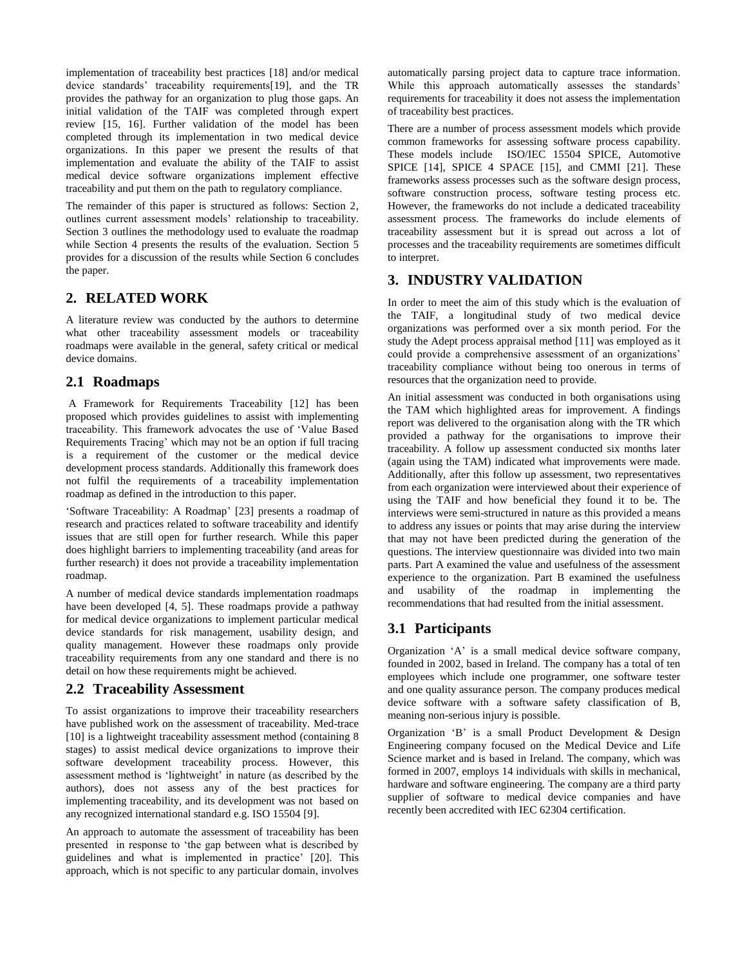implementation of traceability best practices [\[18\]](#page-4-10) and/or medical device standards' traceability requirements[\[19\]](#page-4-11), and the TR provides the pathway for an organization to plug those gaps. An initial validation of the TAIF was completed through expert review [\[15,](#page-4-12) [16\]](#page-4-13). Further validation of the model has been completed through its implementation in two medical device organizations. In this paper we present the results of that implementation and evaluate the ability of the TAIF to assist medical device software organizations implement effective traceability and put them on the path to regulatory compliance.

The remainder of this paper is structured as follows: Section 2, outlines current assessment models' relationship to traceability. Section 3 outlines the methodology used to evaluate the roadmap while Section 4 presents the results of the evaluation. Section 5 provides for a discussion of the results while Section 6 concludes the paper.

# **2. RELATED WORK**

A literature review was conducted by the authors to determine what other traceability assessment models or traceability roadmaps were available in the general, safety critical or medical device domains.

# **2.1 Roadmaps**

 A Framework for Requirements Traceability [\[12\]](#page-4-14) has been proposed which provides guidelines to assist with implementing traceability. This framework advocates the use of 'Value Based Requirements Tracing' which may not be an option if full tracing is a requirement of the customer or the medical device development process standards. Additionally this framework does not fulfil the requirements of a traceability implementation roadmap as defined in the introduction to this paper.

'Software Traceability: A Roadmap' [\[23\]](#page-5-0) presents a roadmap of research and practices related to software traceability and identify issues that are still open for further research. While this paper does highlight barriers to implementing traceability (and areas for further research) it does not provide a traceability implementation roadmap.

A number of medical device standards implementation roadmaps have been developed [\[4,](#page-4-15) [5\]](#page-4-16). These roadmaps provide a pathway for medical device organizations to implement particular medical device standards for risk management, usability design, and quality management. However these roadmaps only provide traceability requirements from any one standard and there is no detail on how these requirements might be achieved.

# **2.2 Traceability Assessment**

To assist organizations to improve their traceability researchers have published work on the assessment of traceability. Med-trace [\[10\]](#page-4-17) is a lightweight traceability assessment method (containing 8 stages) to assist medical device organizations to improve their software development traceability process. However, this assessment method is 'lightweight' in nature (as described by the authors), does not assess any of the best practices for implementing traceability, and its development was not based on any recognized international standard e.g. ISO 15504 [\[9\]](#page-4-18).

An approach to automate the assessment of traceability has been presented in response to 'the gap between what is described by guidelines and what is implemented in practice' [\[20\]](#page-4-19). This approach, which is not specific to any particular domain, involves

automatically parsing project data to capture trace information. While this approach automatically assesses the standards' requirements for traceability it does not assess the implementation of traceability best practices.

There are a number of process assessment models which provide common frameworks for assessing software process capability. These models include ISO/IEC 15504 SPICE, Automotive SPICE [14], SPICE 4 SPACE [15], and CMMI [\[21\]](#page-4-20). These frameworks assess processes such as the software design process, software construction process, software testing process etc. However, the frameworks do not include a dedicated traceability assessment process. The frameworks do include elements of traceability assessment but it is spread out across a lot of processes and the traceability requirements are sometimes difficult to interpret.

# **3. INDUSTRY VALIDATION**

In order to meet the aim of this study which is the evaluation of the TAIF, a longitudinal study of two medical device organizations was performed over a six month period. For the study the Adept process appraisal method [\[11\]](#page-4-21) was employed as it could provide a comprehensive assessment of an organizations' traceability compliance without being too onerous in terms of resources that the organization need to provide.

An initial assessment was conducted in both organisations using the TAM which highlighted areas for improvement. A findings report was delivered to the organisation along with the TR which provided a pathway for the organisations to improve their traceability. A follow up assessment conducted six months later (again using the TAM) indicated what improvements were made. Additionally, after this follow up assessment, two representatives from each organization were interviewed about their experience of using the TAIF and how beneficial they found it to be. The interviews were semi-structured in nature as this provided a means to address any issues or points that may arise during the interview that may not have been predicted during the generation of the questions. The interview questionnaire was divided into two main parts. Part A examined the value and usefulness of the assessment experience to the organization. Part B examined the usefulness and usability of the roadmap in implementing the recommendations that had resulted from the initial assessment.

# **3.1 Participants**

Organization 'A' is a small medical device software company, founded in 2002, based in Ireland. The company has a total of ten employees which include one programmer, one software tester and one quality assurance person. The company produces medical device software with a software safety classification of B, meaning non-serious injury is possible.

Organization 'B' is a small Product Development & Design Engineering company focused on the Medical Device and Life Science market and is based in Ireland. The company, which was formed in 2007, employs 14 individuals with skills in mechanical, hardware and software engineering. The company are a third party supplier of software to medical device companies and have recently been accredited with IEC 62304 certification.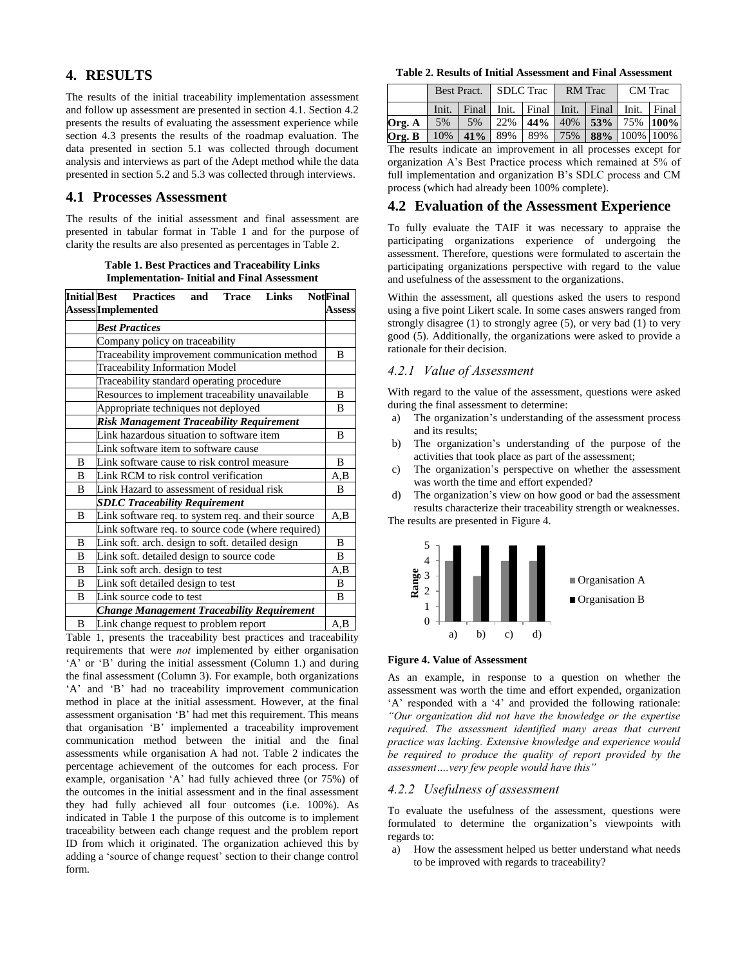# **4. RESULTS**

The results of the initial traceability implementation assessment and follow up assessment are presented in section [4.1.](#page-2-0) Sectio[n 4.2](#page-2-1) presents the results of evaluating the assessment experience while section [4.3](#page-3-0) presents the results of the roadmap evaluation. The data presented in section 5.1 was collected through document analysis and interviews as part of the Adept method while the data presented in section 5.2 and 5.3 was collected through interviews.

#### <span id="page-2-0"></span>**4.1 Processes Assessment**

The results of the initial assessment and final assessment are presented in tabular format in [Table 1](#page-2-2) and for the purpose of clarity the results are also presented as percentages in Table 2.

**Table 1. Best Practices and Traceability Links Implementation- Initial and Final Assessment** 

<span id="page-2-2"></span>

|   | <b>Initial Best Practices</b><br>and Trace Links   | <b>NotFinal</b> |  |  |  |  |  |  |
|---|----------------------------------------------------|-----------------|--|--|--|--|--|--|
|   | <b>Assess</b> Implemented                          | <b>Assess</b>   |  |  |  |  |  |  |
|   | <b>Best Practices</b>                              |                 |  |  |  |  |  |  |
|   | Company policy on traceability                     |                 |  |  |  |  |  |  |
|   | Traceability improvement communication method      |                 |  |  |  |  |  |  |
|   | <b>Traceability Information Model</b>              |                 |  |  |  |  |  |  |
|   | Traceability standard operating procedure          |                 |  |  |  |  |  |  |
|   | Resources to implement traceability unavailable    |                 |  |  |  |  |  |  |
|   | Appropriate techniques not deployed                |                 |  |  |  |  |  |  |
|   | Risk Management Traceability Requirement           |                 |  |  |  |  |  |  |
|   | Link hazardous situation to software item          |                 |  |  |  |  |  |  |
|   | Link software item to software cause               |                 |  |  |  |  |  |  |
| B | Link software cause to risk control measure        |                 |  |  |  |  |  |  |
| B | Link RCM to risk control verification              |                 |  |  |  |  |  |  |
| B | Link Hazard to assessment of residual risk         |                 |  |  |  |  |  |  |
|   | <b>SDLC Traceability Requirement</b>               |                 |  |  |  |  |  |  |
| B | Link software req. to system req. and their source |                 |  |  |  |  |  |  |
|   | Link software req. to source code (where required) |                 |  |  |  |  |  |  |
| B | Link soft. arch. design to soft. detailed design   |                 |  |  |  |  |  |  |
| B | Link soft. detailed design to source code          |                 |  |  |  |  |  |  |
| B | Link soft arch. design to test                     |                 |  |  |  |  |  |  |
| B | Link soft detailed design to test                  |                 |  |  |  |  |  |  |
| B | Link source code to test                           |                 |  |  |  |  |  |  |
|   | <b>Change Management Traceability Requirement</b>  |                 |  |  |  |  |  |  |
| B | Link change request to problem report              | A,B             |  |  |  |  |  |  |

Table 1, presents the traceability best practices and traceability requirements that were *not* implemented by either organisation 'A' or 'B' during the initial assessment (Column 1.) and during the final assessment (Column 3). For example, both organizations 'A' and 'B' had no traceability improvement communication method in place at the initial assessment. However, at the final assessment organisation 'B' had met this requirement. This means that organisation 'B' implemented a traceability improvement communication method between the initial and the final assessments while organisation A had not. Table 2 indicates the percentage achievement of the outcomes for each process. For example, organisation 'A' had fully achieved three (or 75%) of the outcomes in the initial assessment and in the final assessment they had fully achieved all four outcomes (i.e. 100%). As indicated in Table 1 the purpose of this outcome is to implement traceability between each change request and the problem report ID from which it originated. The organization achieved this by adding a 'source of change request' section to their change control form.

**Table 2. Results of Initial Assessment and Final Assessment** 

|        | Best Pract. |       | SDLC Trac |                                     | <b>RM</b> Trac |     | <b>CM</b> Trac |                  |  |
|--------|-------------|-------|-----------|-------------------------------------|----------------|-----|----------------|------------------|--|
|        | Init.       | Final |           | Init. Final Init. Final Init. Final |                |     |                |                  |  |
| Org. A | 5%          | 5%    | 22%       | 44%                                 | 40%            |     |                | $153\%$ 75% 100% |  |
| Org. B | 10%         | 41%   | 89%       | 89%                                 | 75%            | 88% | 100%   100%    |                  |  |
|        |             |       |           |                                     |                |     |                |                  |  |

The results indicate an improvement in all processes except for organization A's Best Practice process which remained at 5% of full implementation and organization B's SDLC process and CM process (which had already been 100% complete).

#### <span id="page-2-1"></span>**4.2 Evaluation of the Assessment Experience**

To fully evaluate the TAIF it was necessary to appraise the participating organizations experience of undergoing the assessment. Therefore, questions were formulated to ascertain the participating organizations perspective with regard to the value and usefulness of the assessment to the organizations.

Within the assessment, all questions asked the users to respond using a five point Likert scale. In some cases answers ranged from strongly disagree (1) to strongly agree (5), or very bad (1) to very good (5). Additionally, the organizations were asked to provide a rationale for their decision.

#### *4.2.1 Value of Assessment*

With regard to the value of the assessment, questions were asked during the final assessment to determine:

- a) The organization's understanding of the assessment process and its results;
- b) The organization's understanding of the purpose of the activities that took place as part of the assessment;
- c) The organization's perspective on whether the assessment was worth the time and effort expended?
- d) The organization's view on how good or bad the assessment results characterize their traceability strength or weaknesses.

The results are presented in Figure 4.



**Figure 4. Value of Assessment** 

As an example, in response to a question on whether the assessment was worth the time and effort expended, organization 'A' responded with a '4' and provided the following rationale: *"Our organization did not have the knowledge or the expertise required. The assessment identified many areas that current practice was lacking. Extensive knowledge and experience would be required to produce the quality of report provided by the assessment….very few people would have this"*

#### *4.2.2 Usefulness of assessment*

To evaluate the usefulness of the assessment, questions were formulated to determine the organization's viewpoints with regards to:

a) How the assessment helped us better understand what needs to be improved with regards to traceability?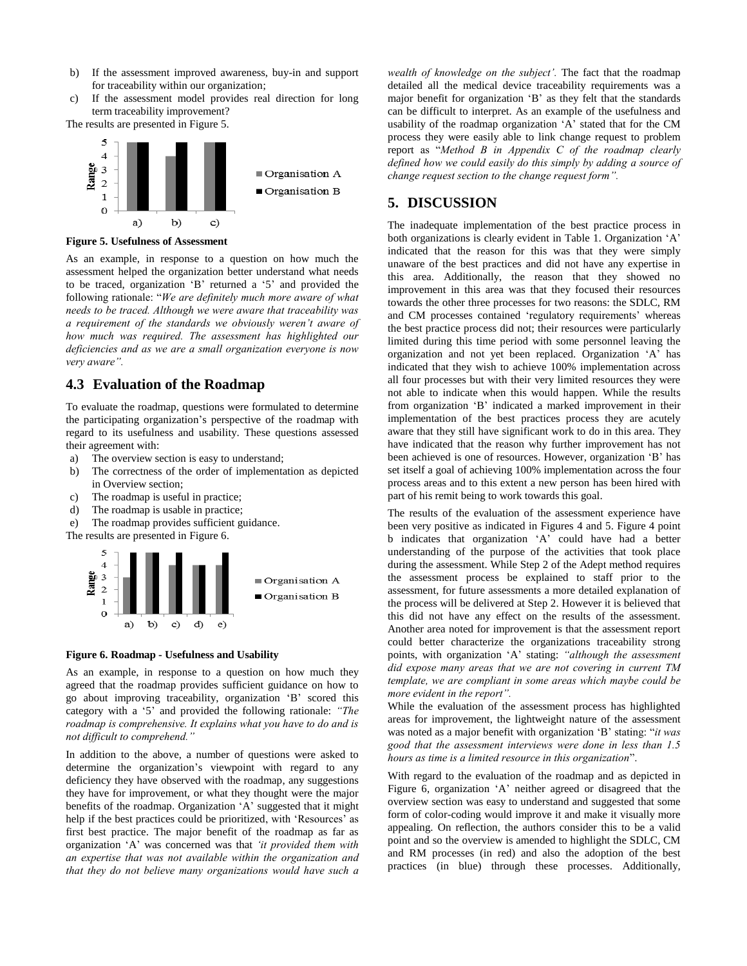- b) If the assessment improved awareness, buy-in and support for traceability within our organization;
- c) If the assessment model provides real direction for long term traceability improvement?

The results are presented in Figure 5.



**Figure 5. Usefulness of Assessment** 

As an example, in response to a question on how much the assessment helped the organization better understand what needs to be traced, organization 'B' returned a '5' and provided the following rationale: "*We are definitely much more aware of what needs to be traced. Although we were aware that traceability was a requirement of the standards we obviously weren't aware of how much was required. The assessment has highlighted our deficiencies and as we are a small organization everyone is now very aware".*

### <span id="page-3-0"></span>**4.3 Evaluation of the Roadmap**

To evaluate the roadmap, questions were formulated to determine the participating organization's perspective of the roadmap with regard to its usefulness and usability. These questions assessed their agreement with:

- a) The overview section is easy to understand;
- b) The correctness of the order of implementation as depicted in Overview section;
- c) The roadmap is useful in practice;
- d) The roadmap is usable in practice;
- e) The roadmap provides sufficient guidance.

The results are presented in Figure 6.



#### **Figure 6. Roadmap - Usefulness and Usability**

As an example, in response to a question on how much they agreed that the roadmap provides sufficient guidance on how to go about improving traceability, organization 'B' scored this category with a '5' and provided the following rationale: *"The roadmap is comprehensive. It explains what you have to do and is not difficult to comprehend."*

In addition to the above, a number of questions were asked to determine the organization's viewpoint with regard to any deficiency they have observed with the roadmap, any suggestions they have for improvement, or what they thought were the major benefits of the roadmap. Organization 'A' suggested that it might help if the best practices could be prioritized, with 'Resources' as first best practice. The major benefit of the roadmap as far as organization 'A' was concerned was that *'it provided them with an expertise that was not available within the organization and that they do not believe many organizations would have such a* 

*wealth of knowledge on the subject'.* The fact that the roadmap detailed all the medical device traceability requirements was a major benefit for organization 'B' as they felt that the standards can be difficult to interpret. As an example of the usefulness and usability of the roadmap organization 'A' stated that for the CM process they were easily able to link change request to problem report as "*Method B in Appendix C of the roadmap clearly defined how we could easily do this simply by adding a source of change request section to the change request form".* 

### **5. DISCUSSION**

The inadequate implementation of the best practice process in both organizations is clearly evident in Table 1. Organization 'A' indicated that the reason for this was that they were simply unaware of the best practices and did not have any expertise in this area. Additionally, the reason that they showed no improvement in this area was that they focused their resources towards the other three processes for two reasons: the SDLC, RM and CM processes contained 'regulatory requirements' whereas the best practice process did not; their resources were particularly limited during this time period with some personnel leaving the organization and not yet been replaced. Organization 'A' has indicated that they wish to achieve 100% implementation across all four processes but with their very limited resources they were not able to indicate when this would happen. While the results from organization 'B' indicated a marked improvement in their implementation of the best practices process they are acutely aware that they still have significant work to do in this area. They have indicated that the reason why further improvement has not been achieved is one of resources. However, organization 'B' has set itself a goal of achieving 100% implementation across the four process areas and to this extent a new person has been hired with part of his remit being to work towards this goal.

The results of the evaluation of the assessment experience have been very positive as indicated in Figures 4 and 5. Figure 4 point b indicates that organization 'A' could have had a better understanding of the purpose of the activities that took place during the assessment. While Step 2 of the Adept method requires the assessment process be explained to staff prior to the assessment, for future assessments a more detailed explanation of the process will be delivered at Step 2. However it is believed that this did not have any effect on the results of the assessment. Another area noted for improvement is that the assessment report could better characterize the organizations traceability strong points, with organization 'A' stating: *"although the assessment did expose many areas that we are not covering in current TM template, we are compliant in some areas which maybe could be more evident in the report".*

While the evaluation of the assessment process has highlighted areas for improvement, the lightweight nature of the assessment was noted as a major benefit with organization 'B' stating: "*it was good that the assessment interviews were done in less than 1.5 hours as time is a limited resource in this organization*".

With regard to the evaluation of the roadmap and as depicted in Figure 6, organization 'A' neither agreed or disagreed that the overview section was easy to understand and suggested that some form of color-coding would improve it and make it visually more appealing. On reflection, the authors consider this to be a valid point and so the overview is amended to highlight the SDLC, CM and RM processes (in red) and also the adoption of the best practices (in blue) through these processes. Additionally,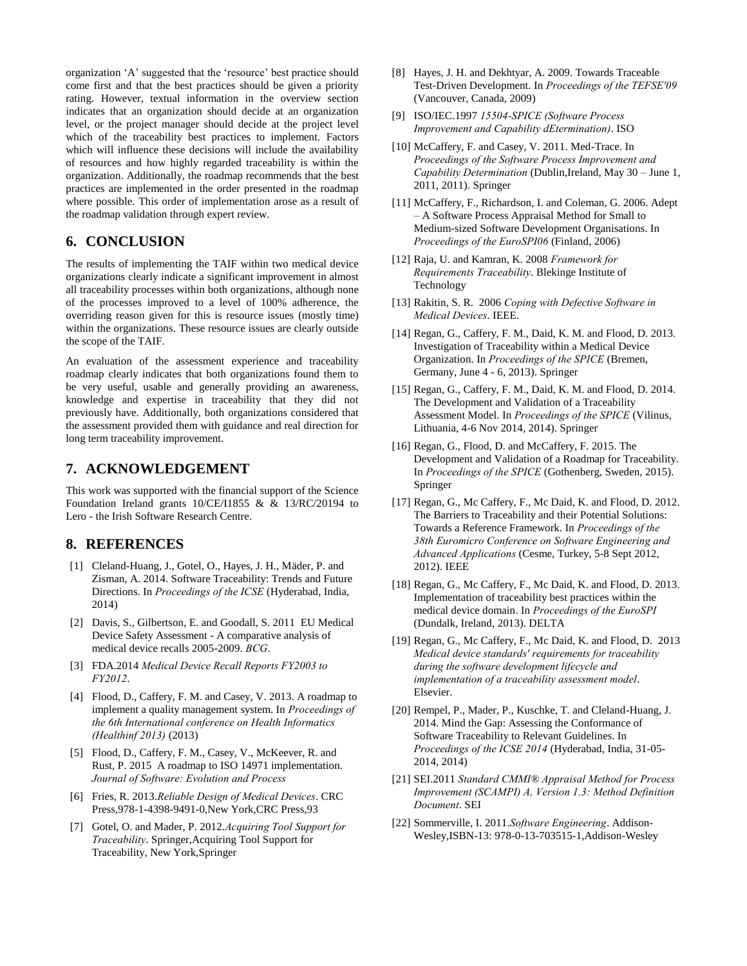organization 'A' suggested that the 'resource' best practice should come first and that the best practices should be given a priority rating. However, textual information in the overview section indicates that an organization should decide at an organization level, or the project manager should decide at the project level which of the traceability best practices to implement. Factors which will influence these decisions will include the availability of resources and how highly regarded traceability is within the organization. Additionally, the roadmap recommends that the best practices are implemented in the order presented in the roadmap where possible. This order of implementation arose as a result of the roadmap validation through expert review.

# **6. CONCLUSION**

The results of implementing the TAIF within two medical device organizations clearly indicate a significant improvement in almost all traceability processes within both organizations, although none of the processes improved to a level of 100% adherence, the overriding reason given for this is resource issues (mostly time) within the organizations. These resource issues are clearly outside the scope of the TAIF.

An evaluation of the assessment experience and traceability roadmap clearly indicates that both organizations found them to be very useful, usable and generally providing an awareness, knowledge and expertise in traceability that they did not previously have. Additionally, both organizations considered that the assessment provided them with guidance and real direction for long term traceability improvement.

# **7. ACKNOWLEDGEMENT**

This work was supported with the financial support of the Science Foundation Ireland grants 10/CE/I1855 & & 13/RC/20194 to Lero - the Irish Software Research Centre.

# **8. REFERENCES**

- <span id="page-4-7"></span>[1] Cleland-Huang, J., Gotel, O., Hayes, J. H., Mäder, P. and Zisman, A. 2014. Software Traceability: Trends and Future Directions. In *Proceedings of the ICSE* (Hyderabad, India, 2014)
- <span id="page-4-6"></span>[2] Davis, S., Gilbertson, E. and Goodall, S. 2011 EU Medical Device Safety Assessment - A comparative analysis of medical device recalls 2005-2009. *BCG*.
- <span id="page-4-5"></span>[3] FDA.2014 *Medical Device Recall Reports FY2003 to FY2012*.
- <span id="page-4-15"></span>[4] Flood, D., Caffery, F. M. and Casey, V. 2013. A roadmap to implement a quality management system. In *Proceedings of the 6th International conference on Health Informatics (Healthinf 2013)* (2013)
- <span id="page-4-16"></span>[5] Flood, D., Caffery, F. M., Casey, V., McKeever, R. and Rust, P. 2015 A roadmap to ISO 14971 implementation. *Journal of Software: Evolution and Process*
- <span id="page-4-4"></span>[6] Fries, R. 2013.*Reliable Design of Medical Devices*. CRC Press,978-1-4398-9491-0,New York,CRC Press,93
- <span id="page-4-0"></span>[7] Gotel, O. and Mader, P. 2012.*Acquiring Tool Support for Traceability*. Springer,Acquiring Tool Support for Traceability, New York,Springer
- <span id="page-4-1"></span>[8] Hayes, J. H. and Dekhtyar, A. 2009. Towards Traceable Test-Driven Development. In *Proceedings of the TEFSE'09* (Vancouver, Canada, 2009)
- <span id="page-4-18"></span>[9] ISO/IEC.1997 *15504-SPICE (Software Process Improvement and Capability dEtermination)*. ISO
- <span id="page-4-17"></span>[10] McCaffery, F. and Casey, V. 2011. Med-Trace. In *Proceedings of the Software Process Improvement and Capability Determination* (Dublin,Ireland, May 30 – June 1, 2011, 2011). Springer
- <span id="page-4-21"></span>[11] McCaffery, F., Richardson, I. and Coleman, G. 2006. Adept – A Software Process Appraisal Method for Small to Medium-sized Software Development Organisations. In *Proceedings of the EuroSPI06* (Finland, 2006)
- <span id="page-4-14"></span>[12] Raja, U. and Kamran, K. 2008 *Framework for Requirements Traceability*. Blekinge Institute of Technology
- <span id="page-4-3"></span>[13] Rakitin, S. R. 2006 *Coping with Defective Software in Medical Devices*. IEEE.
- <span id="page-4-8"></span>[14] Regan, G., Caffery, F. M., Daid, K. M. and Flood, D. 2013. Investigation of Traceability within a Medical Device Organization. In *Proceedings of the SPICE* (Bremen, Germany, June 4 - 6, 2013). Springer
- <span id="page-4-12"></span>[15] Regan, G., Caffery, F. M., Daid, K. M. and Flood, D. 2014. The Development and Validation of a Traceability Assessment Model. In *Proceedings of the SPICE* (Vilinus, Lithuania, 4-6 Nov 2014, 2014). Springer
- <span id="page-4-13"></span>[16] Regan, G., Flood, D. and McCaffery, F. 2015. The Development and Validation of a Roadmap for Traceability. In *Proceedings of the SPICE* (Gothenberg, Sweden, 2015). Springer
- <span id="page-4-9"></span>[17] Regan, G., Mc Caffery, F., Mc Daid, K. and Flood, D. 2012. The Barriers to Traceability and their Potential Solutions: Towards a Reference Framework. In *Proceedings of the 38th Euromicro Conference on Software Engineering and Advanced Applications* (Cesme, Turkey, 5-8 Sept 2012, 2012). IEEE
- <span id="page-4-10"></span>[18] Regan, G., Mc Caffery, F., Mc Daid, K. and Flood, D. 2013. Implementation of traceability best practices within the medical device domain. In *Proceedings of the EuroSPI*  (Dundalk, Ireland, 2013). DELTA
- <span id="page-4-11"></span>[19] Regan, G., Mc Caffery, F., Mc Daid, K. and Flood, D. 2013 *Medical device standards' requirements for traceability during the software development lifecycle and implementation of a traceability assessment model*. Elsevier.
- <span id="page-4-19"></span>[20] Rempel, P., Mader, P., Kuschke, T. and Cleland-Huang, J. 2014. Mind the Gap: Assessing the Conformance of Software Traceability to Relevant Guidelines. In *Proceedings of the ICSE 2014* (Hyderabad, India, 31-05- 2014, 2014)
- <span id="page-4-20"></span>[21] SEI.2011 *Standard CMMI® Appraisal Method for Process Improvement (SCAMPI) A, Version 1.3: Method Definition Document*. SEI
- <span id="page-4-2"></span>[22] Sommerville, I. 2011.*Software Engineering*. Addison-Wesley,ISBN-13: 978-0-13-703515-1,Addison-Wesley